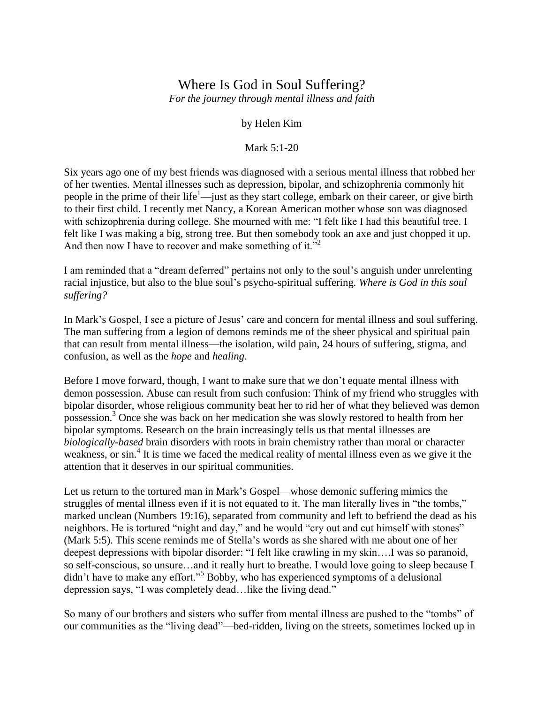## Where Is God in Soul Suffering?

*For the journey through mental illness and faith*

## by Helen Kim

## Mark 5:1-20

Six years ago one of my best friends was diagnosed with a serious mental illness that robbed her of her twenties. Mental illnesses such as depression, bipolar, and schizophrenia commonly hit people in the prime of their life<sup>1</sup>—just as they start college, embark on their career, or give birth to their first child. I recently met Nancy, a Korean American mother whose son was diagnosed with schizophrenia during college. She mourned with me: "I felt like I had this beautiful tree. I felt like I was making a big, strong tree. But then somebody took an axe and just chopped it up. And then now I have to recover and make something of it."<sup>2</sup>

I am reminded that a "dream deferred" pertains not only to the soul"s anguish under unrelenting racial injustice, but also to the blue soul"s psycho-spiritual suffering. *Where is God in this soul suffering?*

In Mark's Gospel, I see a picture of Jesus' care and concern for mental illness and soul suffering. The man suffering from a legion of demons reminds me of the sheer physical and spiritual pain that can result from mental illness—the isolation, wild pain, 24 hours of suffering, stigma, and confusion, as well as the *hope* and *healing*.

Before I move forward, though, I want to make sure that we don't equate mental illness with demon possession. Abuse can result from such confusion: Think of my friend who struggles with bipolar disorder, whose religious community beat her to rid her of what they believed was demon possession.<sup>3</sup> Once she was back on her medication she was slowly restored to health from her bipolar symptoms. Research on the brain increasingly tells us that mental illnesses are *biologically-based* brain disorders with roots in brain chemistry rather than moral or character weakness, or sin.<sup>4</sup> It is time we faced the medical reality of mental illness even as we give it the attention that it deserves in our spiritual communities.

Let us return to the tortured man in Mark"s Gospel—whose demonic suffering mimics the struggles of mental illness even if it is not equated to it. The man literally lives in "the tombs," marked unclean (Numbers 19:16), separated from community and left to befriend the dead as his neighbors. He is tortured "night and day," and he would "cry out and cut himself with stones" (Mark 5:5). This scene reminds me of Stella"s words as she shared with me about one of her deepest depressions with bipolar disorder: "I felt like crawling in my skin….I was so paranoid, so self-conscious, so unsure…and it really hurt to breathe. I would love going to sleep because I didn"t have to make any effort."<sup>5</sup> Bobby, who has experienced symptoms of a delusional depression says, "I was completely dead…like the living dead."

So many of our brothers and sisters who suffer from mental illness are pushed to the "tombs" of our communities as the "living dead"—bed-ridden, living on the streets, sometimes locked up in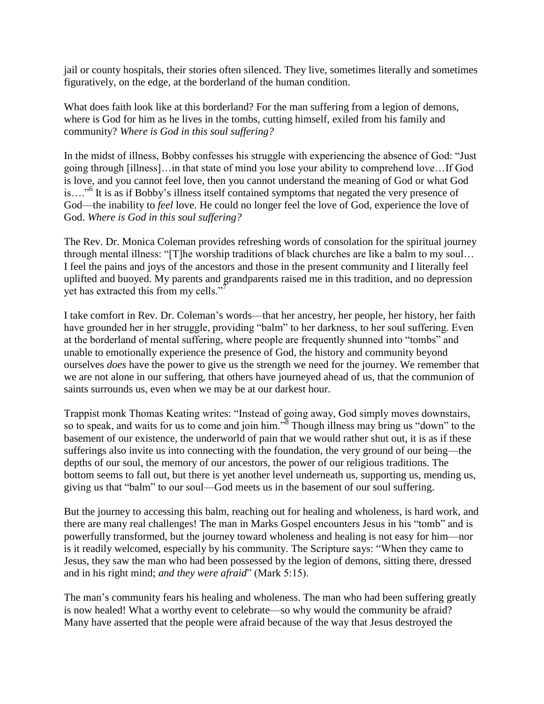jail or county hospitals, their stories often silenced. They live, sometimes literally and sometimes figuratively, on the edge, at the borderland of the human condition.

What does faith look like at this borderland? For the man suffering from a legion of demons, where is God for him as he lives in the tombs, cutting himself, exiled from his family and community? *Where is God in this soul suffering?* 

In the midst of illness, Bobby confesses his struggle with experiencing the absence of God: "Just going through [illness]…in that state of mind you lose your ability to comprehend love…If God is love, and you cannot feel love, then you cannot understand the meaning of God or what God is...."<sup>6</sup> It is as if Bobby's illness itself contained symptoms that negated the very presence of God—the inability to *feel* love. He could no longer feel the love of God, experience the love of God. *Where is God in this soul suffering?* 

The Rev. Dr. Monica Coleman provides refreshing words of consolation for the spiritual journey through mental illness: "[T]he worship traditions of black churches are like a balm to my soul… I feel the pains and joys of the ancestors and those in the present community and I literally feel uplifted and buoyed. My parents and grandparents raised me in this tradition, and no depression yet has extracted this from my cells."

I take comfort in Rev. Dr. Coleman"s words—that her ancestry, her people, her history, her faith have grounded her in her struggle, providing "balm" to her darkness, to her soul suffering. Even at the borderland of mental suffering, where people are frequently shunned into "tombs" and unable to emotionally experience the presence of God, the history and community beyond ourselves *does* have the power to give us the strength we need for the journey. We remember that we are not alone in our suffering, that others have journeyed ahead of us, that the communion of saints surrounds us, even when we may be at our darkest hour.

Trappist monk Thomas Keating writes: "Instead of going away, God simply moves downstairs, so to speak, and waits for us to come and join him."<sup>8</sup> Though illness may bring us "down" to the basement of our existence, the underworld of pain that we would rather shut out, it is as if these sufferings also invite us into connecting with the foundation, the very ground of our being—the depths of our soul, the memory of our ancestors, the power of our religious traditions. The bottom seems to fall out, but there is yet another level underneath us, supporting us, mending us, giving us that "balm" to our soul—God meets us in the basement of our soul suffering.

But the journey to accessing this balm, reaching out for healing and wholeness, is hard work, and there are many real challenges! The man in Marks Gospel encounters Jesus in his "tomb" and is powerfully transformed, but the journey toward wholeness and healing is not easy for him—nor is it readily welcomed, especially by his community. The Scripture says: "When they came to Jesus, they saw the man who had been possessed by the legion of demons, sitting there, dressed and in his right mind; *and they were afraid*" (Mark 5:15).

The man"s community fears his healing and wholeness. The man who had been suffering greatly is now healed! What a worthy event to celebrate—so why would the community be afraid? Many have asserted that the people were afraid because of the way that Jesus destroyed the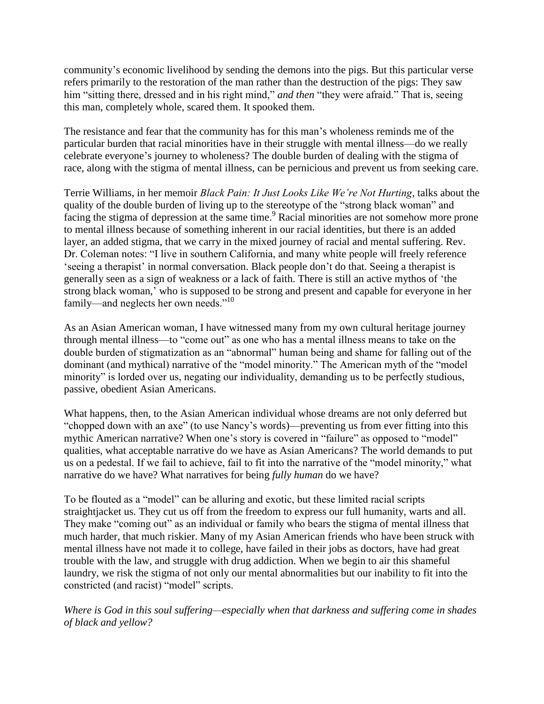community"s economic livelihood by sending the demons into the pigs. But this particular verse refers primarily to the restoration of the man rather than the destruction of the pigs: They saw him "sitting there, dressed and in his right mind," *and then* "they were afraid." That is, seeing this man, completely whole, scared them. It spooked them.

The resistance and fear that the community has for this man"s wholeness reminds me of the particular burden that racial minorities have in their struggle with mental illness—do we really celebrate everyone"s journey to wholeness? The double burden of dealing with the stigma of race, along with the stigma of mental illness, can be pernicious and prevent us from seeking care.

Terrie Williams, in her memoir *Black Pain: It Just Looks Like We're Not Hurting,* talks about the quality of the double burden of living up to the stereotype of the "strong black woman" and facing the stigma of depression at the same time.<sup>9</sup> Racial minorities are not somehow more prone to mental illness because of something inherent in our racial identities, but there is an added layer, an added stigma, that we carry in the mixed journey of racial and mental suffering. Rev. Dr. Coleman notes: "I live in southern California, and many white people will freely reference "seeing a therapist" in normal conversation. Black people don't do that. Seeing a therapist is generally seen as a sign of weakness or a lack of faith. There is still an active mythos of "the strong black woman," who is supposed to be strong and present and capable for everyone in her family—and neglects her own needs."<sup>10</sup>

As an Asian American woman, I have witnessed many from my own cultural heritage journey through mental illness—to "come out" as one who has a mental illness means to take on the double burden of stigmatization as an "abnormal" human being and shame for falling out of the dominant (and mythical) narrative of the "model minority." The American myth of the "model minority" is lorded over us, negating our individuality, demanding us to be perfectly studious, passive, obedient Asian Americans.

What happens, then, to the Asian American individual whose dreams are not only deferred but "chopped down with an axe" (to use Nancy"s words)—preventing us from ever fitting into this mythic American narrative? When one's story is covered in "failure" as opposed to "model" qualities, what acceptable narrative do we have as Asian Americans? The world demands to put us on a pedestal. If we fail to achieve, fail to fit into the narrative of the "model minority," what narrative do we have? What narratives for being *fully human* do we have?

To be flouted as a "model" can be alluring and exotic, but these limited racial scripts straightjacket us. They cut us off from the freedom to express our full humanity, warts and all. They make "coming out" as an individual or family who bears the stigma of mental illness that much harder, that much riskier. Many of my Asian American friends who have been struck with mental illness have not made it to college, have failed in their jobs as doctors, have had great trouble with the law, and struggle with drug addiction. When we begin to air this shameful laundry, we risk the stigma of not only our mental abnormalities but our inability to fit into the constricted (and racist) "model" scripts.

*Where is God in this soul suffering—especially when that darkness and suffering come in shades of black and yellow?*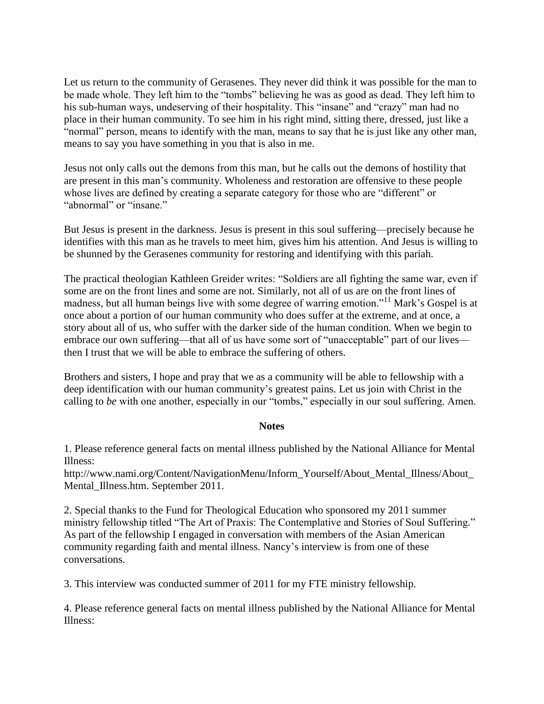Let us return to the community of Gerasenes. They never did think it was possible for the man to be made whole. They left him to the "tombs" believing he was as good as dead. They left him to his sub-human ways, undeserving of their hospitality. This "insane" and "crazy" man had no place in their human community. To see him in his right mind, sitting there, dressed, just like a "normal" person, means to identify with the man, means to say that he is just like any other man, means to say you have something in you that is also in me.

Jesus not only calls out the demons from this man, but he calls out the demons of hostility that are present in this man"s community. Wholeness and restoration are offensive to these people whose lives are defined by creating a separate category for those who are "different" or "abnormal" or "insane"

But Jesus is present in the darkness. Jesus is present in this soul suffering—precisely because he identifies with this man as he travels to meet him, gives him his attention. And Jesus is willing to be shunned by the Gerasenes community for restoring and identifying with this pariah.

The practical theologian Kathleen Greider writes: "Soldiers are all fighting the same war, even if some are on the front lines and some are not. Similarly, not all of us are on the front lines of madness, but all human beings live with some degree of warring emotion."<sup>11</sup> Mark's Gospel is at once about a portion of our human community who does suffer at the extreme, and at once, a story about all of us, who suffer with the darker side of the human condition. When we begin to embrace our own suffering—that all of us have some sort of "unacceptable" part of our lives then I trust that we will be able to embrace the suffering of others.

Brothers and sisters, I hope and pray that we as a community will be able to fellowship with a deep identification with our human community's greatest pains. Let us join with Christ in the calling to *be* with one another, especially in our "tombs," especially in our soul suffering. Amen.

## **Notes**

1. Please reference general facts on mental illness published by the National Alliance for Mental Illness:

http://www.nami.org/Content/NavigationMenu/Inform\_Yourself/About\_Mental\_Illness/About\_ Mental\_Illness.htm. September 2011.

2. Special thanks to the Fund for Theological Education who sponsored my 2011 summer ministry fellowship titled "The Art of Praxis: The Contemplative and Stories of Soul Suffering." As part of the fellowship I engaged in conversation with members of the Asian American community regarding faith and mental illness. Nancy"s interview is from one of these conversations.

3. This interview was conducted summer of 2011 for my FTE ministry fellowship.

4. Please reference general facts on mental illness published by the National Alliance for Mental Illness: